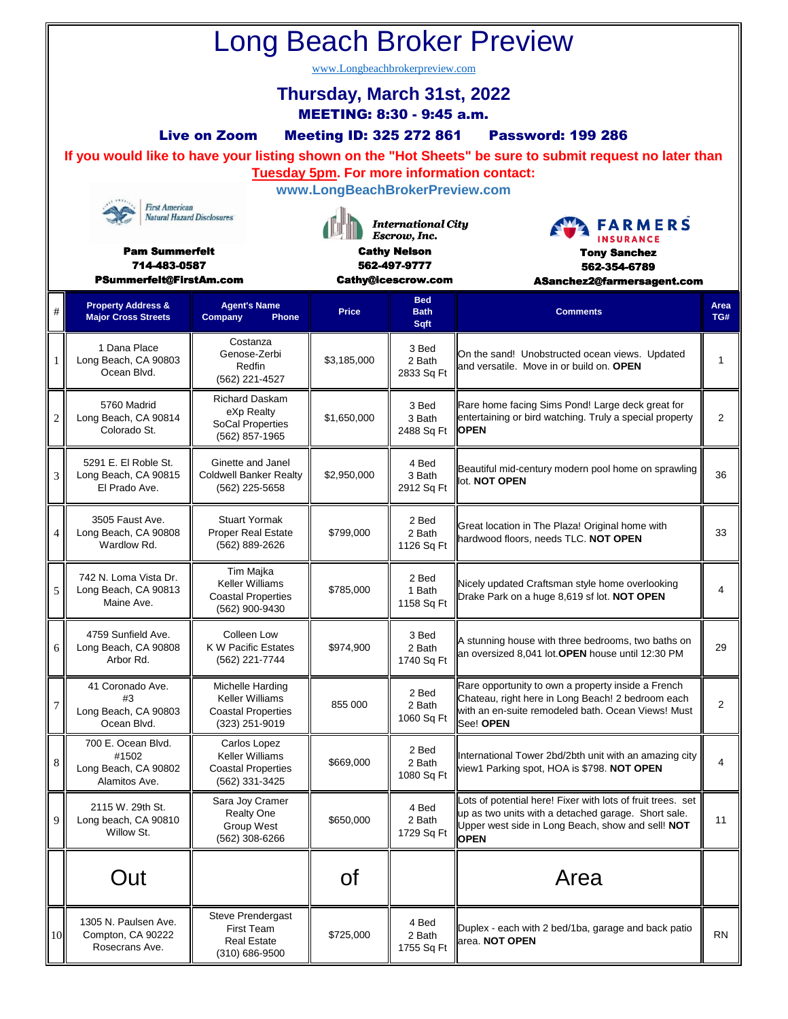| <b>Long Beach Broker Preview</b>                        |                                                                                                                                                                                               |                                                                                           |                                           |                                         |                                                                                                                                                                                        |                |  |  |  |  |  |  |  |  |
|---------------------------------------------------------|-----------------------------------------------------------------------------------------------------------------------------------------------------------------------------------------------|-------------------------------------------------------------------------------------------|-------------------------------------------|-----------------------------------------|----------------------------------------------------------------------------------------------------------------------------------------------------------------------------------------|----------------|--|--|--|--|--|--|--|--|
| www.Longbeachbrokerpreview.com                          |                                                                                                                                                                                               |                                                                                           |                                           |                                         |                                                                                                                                                                                        |                |  |  |  |  |  |  |  |  |
| Thursday, March 31st, 2022<br>MEETING: 8:30 - 9:45 a.m. |                                                                                                                                                                                               |                                                                                           |                                           |                                         |                                                                                                                                                                                        |                |  |  |  |  |  |  |  |  |
|                                                         | <b>Live on Zoom</b><br><b>Meeting ID: 325 272 861</b><br><b>Password: 199 286</b><br>If you would like to have your listing shown on the "Hot Sheets" be sure to submit request no later than |                                                                                           |                                           |                                         |                                                                                                                                                                                        |                |  |  |  |  |  |  |  |  |
|                                                         |                                                                                                                                                                                               |                                                                                           |                                           |                                         | <b>Tuesday 5pm. For more information contact:</b>                                                                                                                                      |                |  |  |  |  |  |  |  |  |
| <b>First American</b>                                   |                                                                                                                                                                                               |                                                                                           | www.LongBeachBrokerPreview.com            |                                         |                                                                                                                                                                                        |                |  |  |  |  |  |  |  |  |
| <b>Natural Hazard Disclosures</b>                       |                                                                                                                                                                                               |                                                                                           | <b>International City</b><br>Escrow, Inc. |                                         | <b>FARMERS</b><br><b>INSURANCE</b>                                                                                                                                                     |                |  |  |  |  |  |  |  |  |
| <b>Pam Summerfelt</b><br>714-483-0587                   |                                                                                                                                                                                               |                                                                                           | <b>Cathy Nelson</b><br>562-497-9777       |                                         | <b>Tony Sanchez</b><br>562-354-6789                                                                                                                                                    |                |  |  |  |  |  |  |  |  |
|                                                         | PSummerfelt@FirstAm.com                                                                                                                                                                       |                                                                                           |                                           | <b>Cathy@icescrow.com</b><br><b>Bed</b> | ASanchez2@farmersagent.com                                                                                                                                                             |                |  |  |  |  |  |  |  |  |
| #                                                       | <b>Property Address &amp;</b><br><b>Major Cross Streets</b>                                                                                                                                   | <b>Agent's Name</b><br>Company<br><b>Phone</b>                                            | <b>Price</b>                              | <b>Bath</b><br>Sqft                     | <b>Comments</b>                                                                                                                                                                        | Area<br>TG#    |  |  |  |  |  |  |  |  |
|                                                         | 1 Dana Place<br>Long Beach, CA 90803<br>Ocean Blvd.                                                                                                                                           | Costanza<br>Genose-Zerbi<br>Redfin<br>(562) 221-4527                                      | \$3,185,000                               | 3 Bed<br>2 Bath<br>2833 Sq Ft           | On the sand! Unobstructed ocean views. Updated<br>and versatile. Move in or build on. OPEN                                                                                             | 1              |  |  |  |  |  |  |  |  |
| $\overline{c}$                                          | 5760 Madrid<br>Long Beach, CA 90814<br>Colorado St.                                                                                                                                           | <b>Richard Daskam</b><br>eXp Realty<br><b>SoCal Properties</b><br>(562) 857-1965          | \$1,650,000                               | 3 Bed<br>3 Bath<br>2488 Sq Ft           | Rare home facing Sims Pond! Large deck great for<br>entertaining or bird watching. Truly a special property<br><b>OPEN</b>                                                             | 2              |  |  |  |  |  |  |  |  |
| 3                                                       | 5291 E. El Roble St.<br>Long Beach, CA 90815<br>El Prado Ave.                                                                                                                                 | Ginette and Janel<br><b>Coldwell Banker Realty</b><br>(562) 225-5658                      | \$2,950,000                               | 4 Bed<br>3 Bath<br>2912 Sq Ft           | Beautiful mid-century modern pool home on sprawling<br>lot. NOT OPEN                                                                                                                   | 36             |  |  |  |  |  |  |  |  |
| 4                                                       | 3505 Faust Ave.<br>Long Beach, CA 90808<br>Wardlow Rd.                                                                                                                                        | <b>Stuart Yormak</b><br><b>Proper Real Estate</b><br>(562) 889-2626                       | \$799,000                                 | 2 Bed<br>2 Bath<br>1126 Sq Ft           | Great location in The Plaza! Original home with<br>hardwood floors, needs TLC. NOT OPEN                                                                                                | 33             |  |  |  |  |  |  |  |  |
| 5                                                       | 742 N. Loma Vista Dr.<br>Long Beach, CA 90813<br>Maine Ave.                                                                                                                                   | Tim Majka<br><b>Keller Williams</b><br><b>Coastal Properties</b><br>(562) 900-9430        | \$785,000                                 | 2 Bed<br>1 Bath<br>1158 Sq Ft           | Nicely updated Craftsman style home overlooking<br>Drake Park on a huge 8,619 sf lot. NOT OPEN                                                                                         | 4              |  |  |  |  |  |  |  |  |
| 6                                                       | 4759 Sunfield Ave.<br>Long Beach, CA 90808<br>Arbor Rd.                                                                                                                                       | Colleen Low<br><b>K W Pacific Estates</b><br>(562) 221-7744                               | \$974,900                                 | 3 Bed<br>2 Bath<br>1740 Sq Ft           | A stunning house with three bedrooms, two baths on<br>an oversized 8,041 lot. OPEN house until 12:30 PM                                                                                | 29             |  |  |  |  |  |  |  |  |
| $\tau$                                                  | 41 Coronado Ave.<br>#3<br>Long Beach, CA 90803<br>Ocean Blvd.                                                                                                                                 | Michelle Harding<br><b>Keller Williams</b><br><b>Coastal Properties</b><br>(323) 251-9019 | 855 000                                   | 2 Bed<br>2 Bath<br>1060 Sq Ft           | Rare opportunity to own a property inside a French<br>Chateau, right here in Long Beach! 2 bedroom each<br>with an en-suite remodeled bath. Ocean Views! Must<br>See! OPEN             | $\overline{2}$ |  |  |  |  |  |  |  |  |
| 8                                                       | 700 E. Ocean Blvd.<br>#1502<br>Long Beach, CA 90802<br>Alamitos Ave.                                                                                                                          | Carlos Lopez<br>Keller Williams<br><b>Coastal Properties</b><br>(562) 331-3425            | \$669,000                                 | 2 Bed<br>2 Bath<br>1080 Sq Ft           | International Tower 2bd/2bth unit with an amazing city<br>view1 Parking spot, HOA is \$798. NOT OPEN                                                                                   | 4              |  |  |  |  |  |  |  |  |
| 9                                                       | 2115 W. 29th St.<br>Long beach, CA 90810<br>Willow St.                                                                                                                                        | Sara Joy Cramer<br><b>Realty One</b><br>Group West<br>(562) 308-6266                      | \$650,000                                 | 4 Bed<br>2 Bath<br>1729 Sq Ft           | Lots of potential here! Fixer with lots of fruit trees. set<br>up as two units with a detached garage. Short sale.<br>Upper west side in Long Beach, show and sell! NOT<br><b>OPEN</b> | 11             |  |  |  |  |  |  |  |  |
|                                                         | Out                                                                                                                                                                                           |                                                                                           | Οf                                        |                                         | Area                                                                                                                                                                                   |                |  |  |  |  |  |  |  |  |
| <b>10</b>                                               | 1305 N. Paulsen Ave.<br>Compton, CA 90222<br>Rosecrans Ave.                                                                                                                                   | Steve Prendergast<br>First Team<br><b>Real Estate</b><br>(310) 686-9500                   | \$725,000                                 | 4 Bed<br>2 Bath<br>1755 Sq Ft           | Duplex - each with 2 bed/1ba, garage and back patio<br>area. NOT OPEN                                                                                                                  | <b>RN</b>      |  |  |  |  |  |  |  |  |